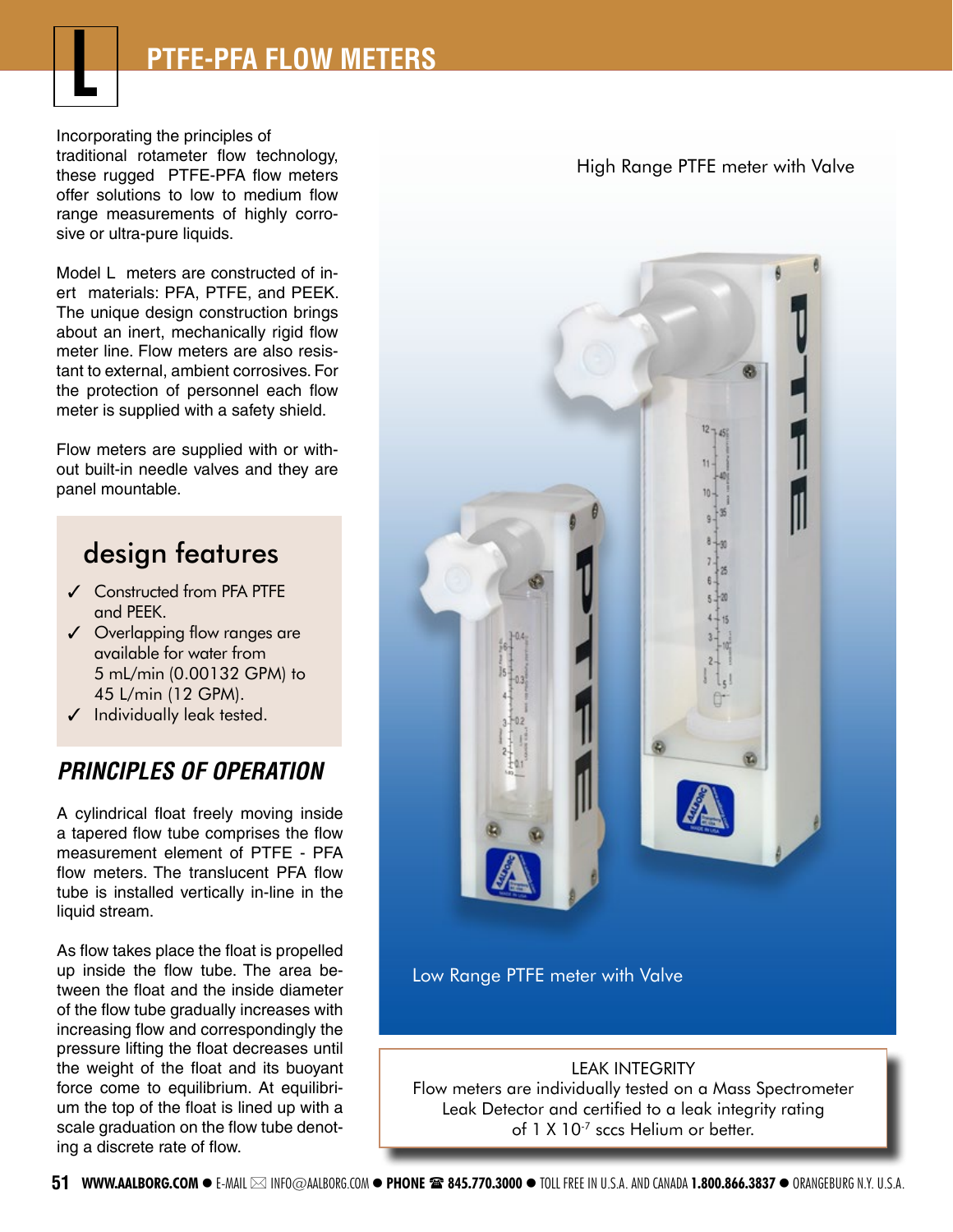

Incorporating the principles of traditional rotameter flow technology, these rugged PTFE-PFA flow meters offer solutions to low to medium flow range measurements of highly corrosive or ultra-pure liquids.

Model L meters are constructed of inert materials: PFA, PTFE, and PEEK. The unique design construction brings about an inert, mechanically rigid flow meter line. Flow meters are also resistant to external, ambient corrosives. For the protection of personnel each flow meter is supplied with a safety shield.

Flow meters are supplied with or without built-in needle valves and they are panel mountable.

## design features

- ✓ Constructed from PFA PTFE and PEEK.
- ✓ Overlapping flow ranges are available for water from 5 mL/min (0.00132 GPM) to 45 L/min (12 GPM).
- $\checkmark$  Individually leak tested.

## **PRINCIPLES OF OPERATION**

A cylindrical float freely moving inside a tapered flow tube comprises the flow measurement element of PTFE - PFA flow meters. The translucent PFA flow tube is installed vertically in-line in the liquid stream.

As flow takes place the float is propelled up inside the flow tube. The area between the float and the inside diameter of the flow tube gradually increases with increasing flow and correspondingly the pressure lifting the float decreases until the weight of the float and its buoyant force come to equilibrium. At equilibrium the top of the float is lined up with a scale graduation on the flow tube denoting a discrete rate of flow.

High Range PTFE meter with Valve